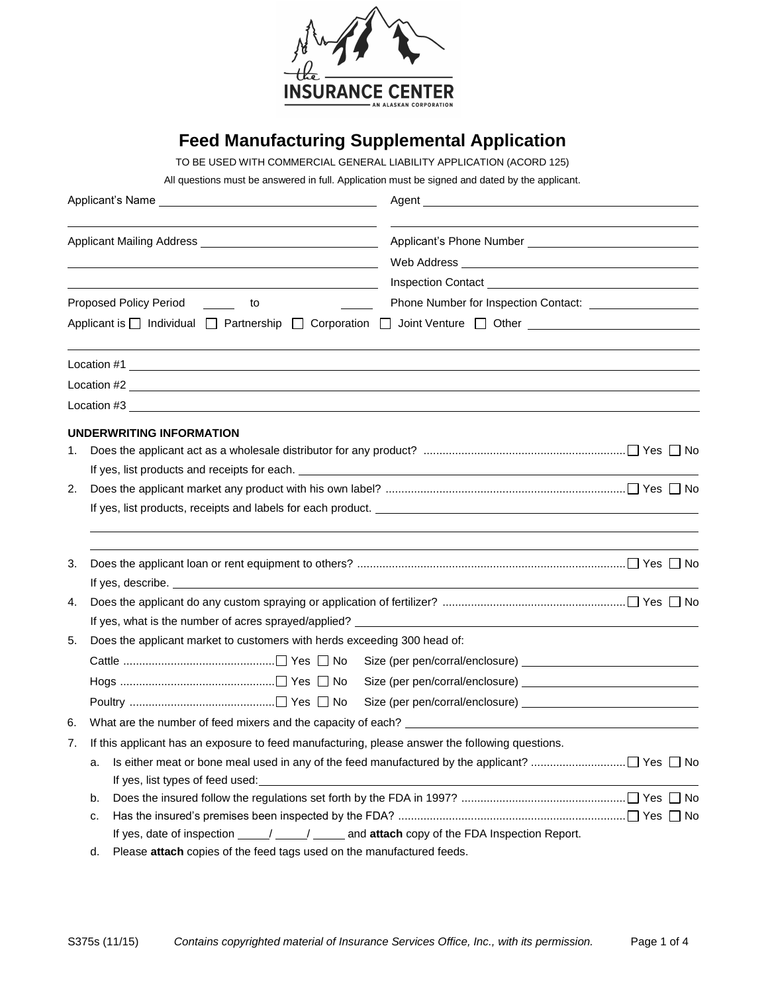

# **Feed Manufacturing Supplemental Application**

TO BE USED WITH COMMERCIAL GENERAL LIABILITY APPLICATION (ACORD 125)

All questions must be answered in full. Application must be signed and dated by the applicant.

|    | <u> 1989 - Johann Barbara, martin amerikan basar dan basa dan basa dan basa dalam basa dalam basa dalam basa dala</u>                                                                                                              |                                                                                                    |  |  |  |  |  |  |
|----|------------------------------------------------------------------------------------------------------------------------------------------------------------------------------------------------------------------------------------|----------------------------------------------------------------------------------------------------|--|--|--|--|--|--|
|    | <u> 1989 - Johann Barbara, martxa alemaniar amerikan a</u><br>Proposed Policy Period _______ to<br>$\sim$ 100 $\sim$ 100 $\sim$                                                                                                    |                                                                                                    |  |  |  |  |  |  |
|    |                                                                                                                                                                                                                                    | Applicant is □ Individual □ Partnership □ Corporation □ Joint Venture □ Other ____________________ |  |  |  |  |  |  |
|    | Location #1                                                                                                                                                                                                                        |                                                                                                    |  |  |  |  |  |  |
|    | Location $#2$ $\qquad \qquad$                                                                                                                                                                                                      |                                                                                                    |  |  |  |  |  |  |
|    |                                                                                                                                                                                                                                    |                                                                                                    |  |  |  |  |  |  |
|    | UNDERWRITING INFORMATION                                                                                                                                                                                                           |                                                                                                    |  |  |  |  |  |  |
| 1. |                                                                                                                                                                                                                                    |                                                                                                    |  |  |  |  |  |  |
|    |                                                                                                                                                                                                                                    |                                                                                                    |  |  |  |  |  |  |
| 2. |                                                                                                                                                                                                                                    |                                                                                                    |  |  |  |  |  |  |
|    |                                                                                                                                                                                                                                    |                                                                                                    |  |  |  |  |  |  |
| 3. |                                                                                                                                                                                                                                    |                                                                                                    |  |  |  |  |  |  |
|    | If yes, describe. <u>experimental</u> contract the set of the set of the set of the set of the set of the set of the set of the set of the set of the set of the set of the set of the set of the set of the set of the set of the |                                                                                                    |  |  |  |  |  |  |
| 4. |                                                                                                                                                                                                                                    |                                                                                                    |  |  |  |  |  |  |
| 5. | Does the applicant market to customers with herds exceeding 300 head of:                                                                                                                                                           |                                                                                                    |  |  |  |  |  |  |
|    |                                                                                                                                                                                                                                    |                                                                                                    |  |  |  |  |  |  |
|    |                                                                                                                                                                                                                                    |                                                                                                    |  |  |  |  |  |  |
|    |                                                                                                                                                                                                                                    |                                                                                                    |  |  |  |  |  |  |
| 6. |                                                                                                                                                                                                                                    |                                                                                                    |  |  |  |  |  |  |
| 7. | If this applicant has an exposure to feed manufacturing, please answer the following questions.                                                                                                                                    |                                                                                                    |  |  |  |  |  |  |
|    | а.                                                                                                                                                                                                                                 |                                                                                                    |  |  |  |  |  |  |
|    | If yes, list types of feed used:                                                                                                                                                                                                   |                                                                                                    |  |  |  |  |  |  |
|    | b.                                                                                                                                                                                                                                 |                                                                                                    |  |  |  |  |  |  |
|    | c.<br>If yes, date of inspection ____/ ____/ ____ and attach copy of the FDA Inspection Report.                                                                                                                                    |                                                                                                    |  |  |  |  |  |  |
|    |                                                                                                                                                                                                                                    |                                                                                                    |  |  |  |  |  |  |

d. Please **attach** copies of the feed tags used on the manufactured feeds.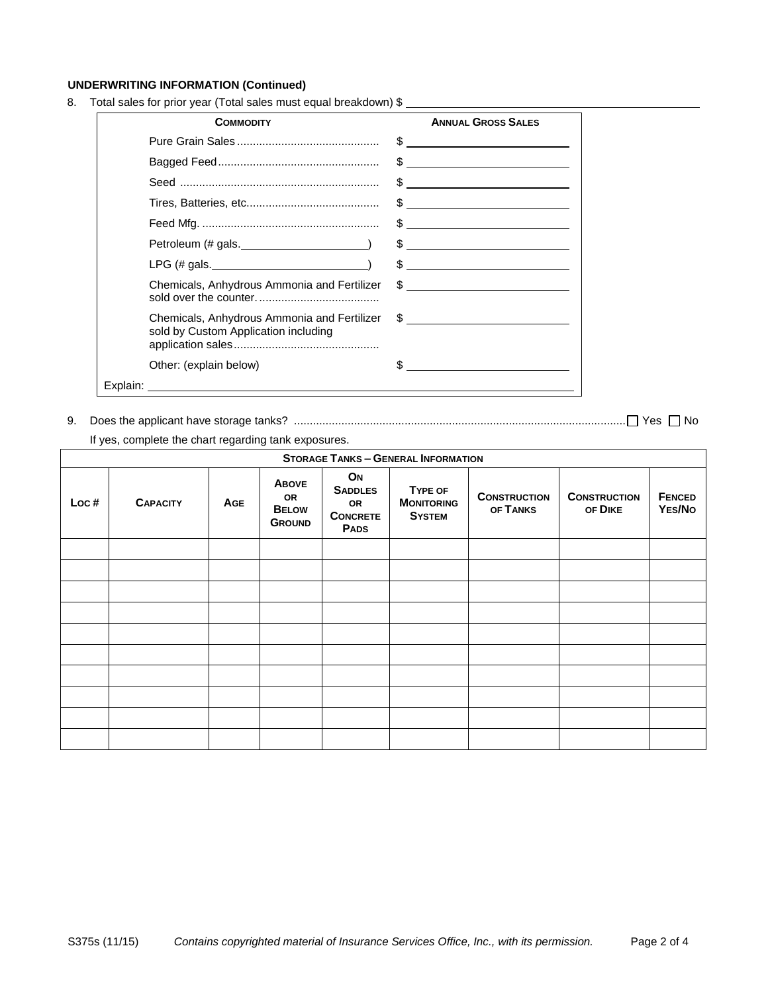## **UNDERWRITING INFORMATION (Continued)**

8. Total sales for prior year (Total sales must equal breakdown) \$

| <b>COMMODITY</b>                                                                    | <b>ANNUAL GROSS SALES</b>                                                                                                                                                                                                                                                                                                                                                                                                |
|-------------------------------------------------------------------------------------|--------------------------------------------------------------------------------------------------------------------------------------------------------------------------------------------------------------------------------------------------------------------------------------------------------------------------------------------------------------------------------------------------------------------------|
|                                                                                     | $\frac{1}{2}$                                                                                                                                                                                                                                                                                                                                                                                                            |
|                                                                                     | $\begin{array}{c c c c c c} \hline \texttt{S} & \texttt{S} & \texttt{S} & \texttt{S} & \texttt{S} & \texttt{S} & \texttt{S} & \texttt{S} & \texttt{S} & \texttt{S} & \texttt{S} & \texttt{S} & \texttt{S} & \texttt{S} & \texttt{S} & \texttt{S} & \texttt{S} & \texttt{S} & \texttt{S} & \texttt{S} & \texttt{S} & \texttt{S} & \texttt{S} & \texttt{S} & \texttt{S} & \texttt{S} & \texttt{S} & \texttt{S} & \texttt{$ |
|                                                                                     | $\frac{1}{2}$                                                                                                                                                                                                                                                                                                                                                                                                            |
|                                                                                     | $\begin{array}{c c c c c c} \hline \texttt{S} & \texttt{S} & \texttt{S} & \texttt{S} & \texttt{S} & \texttt{S} & \texttt{S} & \texttt{S} & \texttt{S} & \texttt{S} & \texttt{S} & \texttt{S} & \texttt{S} & \texttt{S} & \texttt{S} & \texttt{S} & \texttt{S} & \texttt{S} & \texttt{S} & \texttt{S} & \texttt{S} & \texttt{S} & \texttt{S} & \texttt{S} & \texttt{S} & \texttt{S} & \texttt{S} & \texttt{S} & \texttt{$ |
|                                                                                     |                                                                                                                                                                                                                                                                                                                                                                                                                          |
|                                                                                     | $\frac{1}{2}$                                                                                                                                                                                                                                                                                                                                                                                                            |
| LPG $(\#$ gals.                                                                     | $\frac{1}{2}$                                                                                                                                                                                                                                                                                                                                                                                                            |
| Chemicals, Anhydrous Ammonia and Fertilizer                                         | $\frac{1}{2}$                                                                                                                                                                                                                                                                                                                                                                                                            |
| Chemicals, Anhydrous Ammonia and Fertilizer<br>sold by Custom Application including | $\frac{1}{2}$                                                                                                                                                                                                                                                                                                                                                                                                            |
| Other: (explain below)                                                              |                                                                                                                                                                                                                                                                                                                                                                                                                          |
| Explain:                                                                            |                                                                                                                                                                                                                                                                                                                                                                                                                          |

9. Does the applicant have storage tanks? ......................................................................................................... Yes No

If yes, complete the chart regarding tank exposures.

| <b>STORAGE TANKS - GENERAL INFORMATION</b> |                 |            |                                                            |                                                              |                                               |                                 |                                |                         |
|--------------------------------------------|-----------------|------------|------------------------------------------------------------|--------------------------------------------------------------|-----------------------------------------------|---------------------------------|--------------------------------|-------------------------|
| Loc#                                       | <b>CAPACITY</b> | <b>AGE</b> | <b>ABOVE</b><br><b>OR</b><br><b>BELOW</b><br><b>GROUND</b> | ON<br><b>SADDLES</b><br>OR<br><b>CONCRETE</b><br><b>PADS</b> | TYPE OF<br><b>MONITORING</b><br><b>SYSTEM</b> | <b>CONSTRUCTION</b><br>OF TANKS | <b>CONSTRUCTION</b><br>OF DIKE | <b>FENCED</b><br>YES/No |
|                                            |                 |            |                                                            |                                                              |                                               |                                 |                                |                         |
|                                            |                 |            |                                                            |                                                              |                                               |                                 |                                |                         |
|                                            |                 |            |                                                            |                                                              |                                               |                                 |                                |                         |
|                                            |                 |            |                                                            |                                                              |                                               |                                 |                                |                         |
|                                            |                 |            |                                                            |                                                              |                                               |                                 |                                |                         |
|                                            |                 |            |                                                            |                                                              |                                               |                                 |                                |                         |
|                                            |                 |            |                                                            |                                                              |                                               |                                 |                                |                         |
|                                            |                 |            |                                                            |                                                              |                                               |                                 |                                |                         |
|                                            |                 |            |                                                            |                                                              |                                               |                                 |                                |                         |
|                                            |                 |            |                                                            |                                                              |                                               |                                 |                                |                         |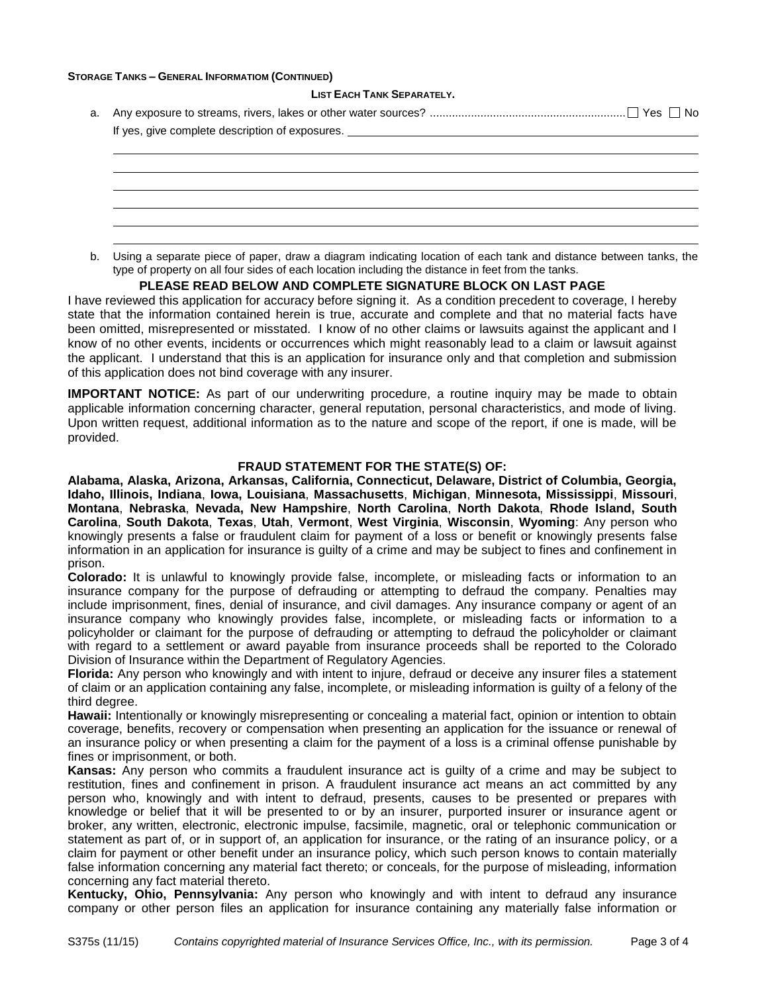### **STORAGE TANKS – GENERAL INFORMATIOM (CONTINUED)**

#### **LIST EACH TANK SEPARATELY.**

| If yes, give complete description of exposures. |  |  |  |  |  |
|-------------------------------------------------|--|--|--|--|--|
|                                                 |  |  |  |  |  |
|                                                 |  |  |  |  |  |

b. Using a separate piece of paper, draw a diagram indicating location of each tank and distance between tanks, the type of property on all four sides of each location including the distance in feet from the tanks.

#### **PLEASE READ BELOW AND COMPLETE SIGNATURE BLOCK ON LAST PAGE**

I have reviewed this application for accuracy before signing it. As a condition precedent to coverage, I hereby state that the information contained herein is true, accurate and complete and that no material facts have been omitted, misrepresented or misstated. I know of no other claims or lawsuits against the applicant and I know of no other events, incidents or occurrences which might reasonably lead to a claim or lawsuit against the applicant. I understand that this is an application for insurance only and that completion and submission of this application does not bind coverage with any insurer.

**IMPORTANT NOTICE:** As part of our underwriting procedure, a routine inquiry may be made to obtain applicable information concerning character, general reputation, personal characteristics, and mode of living. Upon written request, additional information as to the nature and scope of the report, if one is made, will be provided.

#### **FRAUD STATEMENT FOR THE STATE(S) OF:**

**Alabama, Alaska, Arizona, Arkansas, California, Connecticut, Delaware, District of Columbia, Georgia, Idaho, Illinois, Indiana**, **Iowa, Louisiana**, **Massachusetts**, **Michigan**, **Minnesota, Mississippi**, **Missouri**, **Montana**, **Nebraska**, **Nevada, New Hampshire**, **North Carolina**, **North Dakota**, **Rhode Island, South Carolina**, **South Dakota**, **Texas**, **Utah**, **Vermont**, **West Virginia**, **Wisconsin**, **Wyoming**: Any person who knowingly presents a false or fraudulent claim for payment of a loss or benefit or knowingly presents false information in an application for insurance is guilty of a crime and may be subject to fines and confinement in prison.

**Colorado:** It is unlawful to knowingly provide false, incomplete, or misleading facts or information to an insurance company for the purpose of defrauding or attempting to defraud the company. Penalties may include imprisonment, fines, denial of insurance, and civil damages. Any insurance company or agent of an insurance company who knowingly provides false, incomplete, or misleading facts or information to a policyholder or claimant for the purpose of defrauding or attempting to defraud the policyholder or claimant with regard to a settlement or award payable from insurance proceeds shall be reported to the Colorado Division of Insurance within the Department of Regulatory Agencies.

**Florida:** Any person who knowingly and with intent to injure, defraud or deceive any insurer files a statement of claim or an application containing any false, incomplete, or misleading information is guilty of a felony of the third degree.

**Hawaii:** Intentionally or knowingly misrepresenting or concealing a material fact, opinion or intention to obtain coverage, benefits, recovery or compensation when presenting an application for the issuance or renewal of an insurance policy or when presenting a claim for the payment of a loss is a criminal offense punishable by fines or imprisonment, or both.

**Kansas:** Any person who commits a fraudulent insurance act is guilty of a crime and may be subject to restitution, fines and confinement in prison. A fraudulent insurance act means an act committed by any person who, knowingly and with intent to defraud, presents, causes to be presented or prepares with knowledge or belief that it will be presented to or by an insurer, purported insurer or insurance agent or broker, any written, electronic, electronic impulse, facsimile, magnetic, oral or telephonic communication or statement as part of, or in support of, an application for insurance, or the rating of an insurance policy, or a claim for payment or other benefit under an insurance policy, which such person knows to contain materially false information concerning any material fact thereto; or conceals, for the purpose of misleading, information concerning any fact material thereto.

**Kentucky, Ohio, Pennsylvania:** Any person who knowingly and with intent to defraud any insurance company or other person files an application for insurance containing any materially false information or